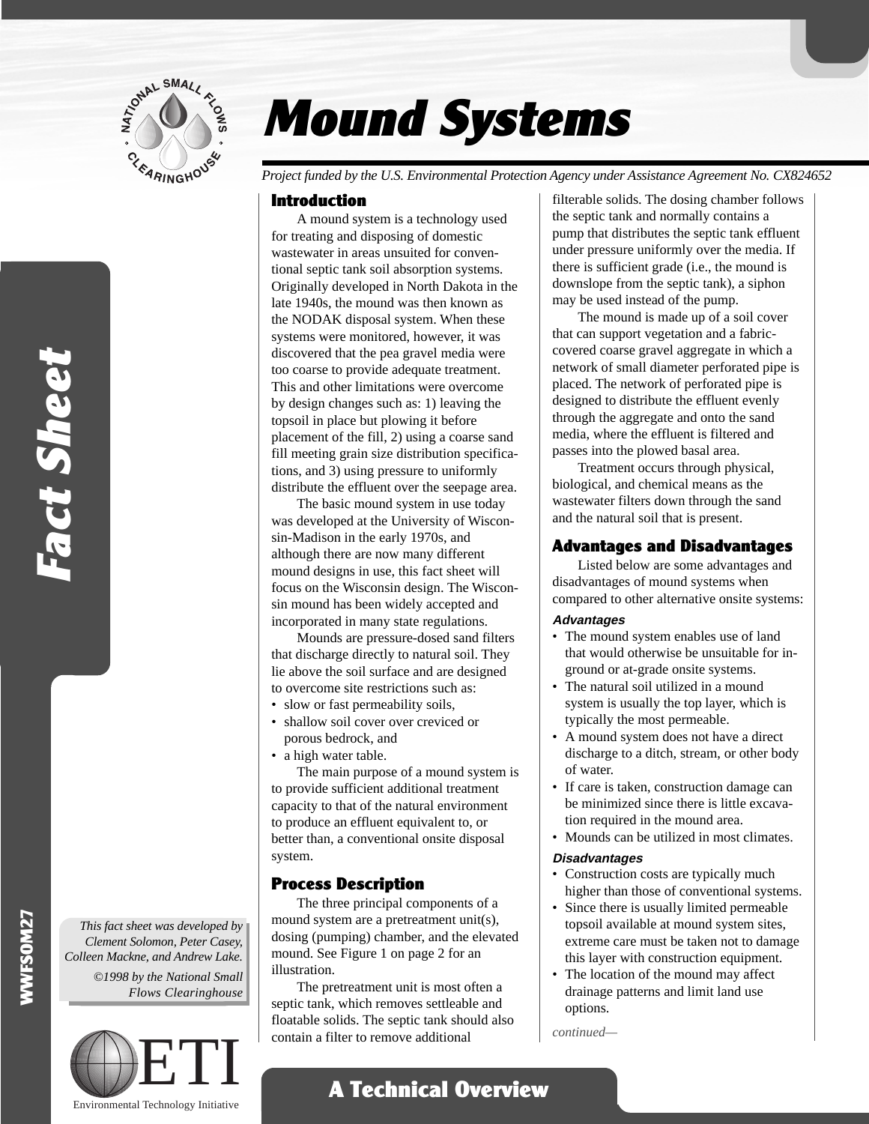

# Mound Systems

*Project funded by the U.S. Environmental Protection Agency under Assistance Agreement No. CX824652*

## Introduction

A mound system is a technology used for treating and disposing of domestic wastewater in areas unsuited for conventional septic tank soil absorption systems. Originally developed in North Dakota in the late 1940s, the mound was then known as the NODAK disposal system. When these systems were monitored, however, it was discovered that the pea gravel media were too coarse to provide adequate treatment. This and other limitations were overcome by design changes such as: 1) leaving the topsoil in place but plowing it before placement of the fill, 2) using a coarse sand fill meeting grain size distribution specifications, and 3) using pressure to uniformly distribute the effluent over the seepage area.

The basic mound system in use today was developed at the University of Wisconsin-Madison in the early 1970s, and although there are now many different mound designs in use, this fact sheet will focus on the Wisconsin design. The Wisconsin mound has been widely accepted and incorporated in many state regulations.

Mounds are pressure-dosed sand filters that discharge directly to natural soil. They lie above the soil surface and are designed to overcome site restrictions such as:

- slow or fast permeability soils,
- shallow soil cover over creviced or porous bedrock, and
- a high water table.

The main purpose of a mound system is to provide sufficient additional treatment capacity to that of the natural environment to produce an effluent equivalent to, or better than, a conventional onsite disposal system.

# Process Description

The three principal components of a mound system are a pretreatment unit(s), dosing (pumping) chamber, and the elevated mound. See Figure 1 on page 2 for an illustration.

The pretreatment unit is most often a septic tank, which removes settleable and floatable solids. The septic tank should also contain a filter to remove additional

filterable solids. The dosing chamber follows the septic tank and normally contains a pump that distributes the septic tank effluent under pressure uniformly over the media. If there is sufficient grade (i.e., the mound is downslope from the septic tank), a siphon may be used instead of the pump.

The mound is made up of a soil cover that can support vegetation and a fabriccovered coarse gravel aggregate in which a network of small diameter perforated pipe is placed. The network of perforated pipe is designed to distribute the effluent evenly through the aggregate and onto the sand media, where the effluent is filtered and passes into the plowed basal area.

Treatment occurs through physical, biological, and chemical means as the wastewater filters down through the sand and the natural soil that is present.

## Advantages and Disadvantages

Listed below are some advantages and disadvantages of mound systems when compared to other alternative onsite systems:

#### **Advantages**

- The mound system enables use of land that would otherwise be unsuitable for inground or at-grade onsite systems.
- The natural soil utilized in a mound system is usually the top layer, which is typically the most permeable.
- A mound system does not have a direct discharge to a ditch, stream, or other body of water.
- If care is taken, construction damage can be minimized since there is little excavation required in the mound area.
- Mounds can be utilized in most climates.

## **Disadvantages**

- Construction costs are typically much higher than those of conventional systems.
- Since there is usually limited permeable topsoil available at mound system sites, extreme care must be taken not to damage this layer with construction equipment.
- The location of the mound may affect drainage patterns and limit land use options.

*continued—*

*This fact sheet was developed by Clement Solomon, Peter Casey, Colleen Mackne, and Andrew Lake. ©1998 by the National Small Flows Clearinghouse*

WWFSOM27



A Technical Overview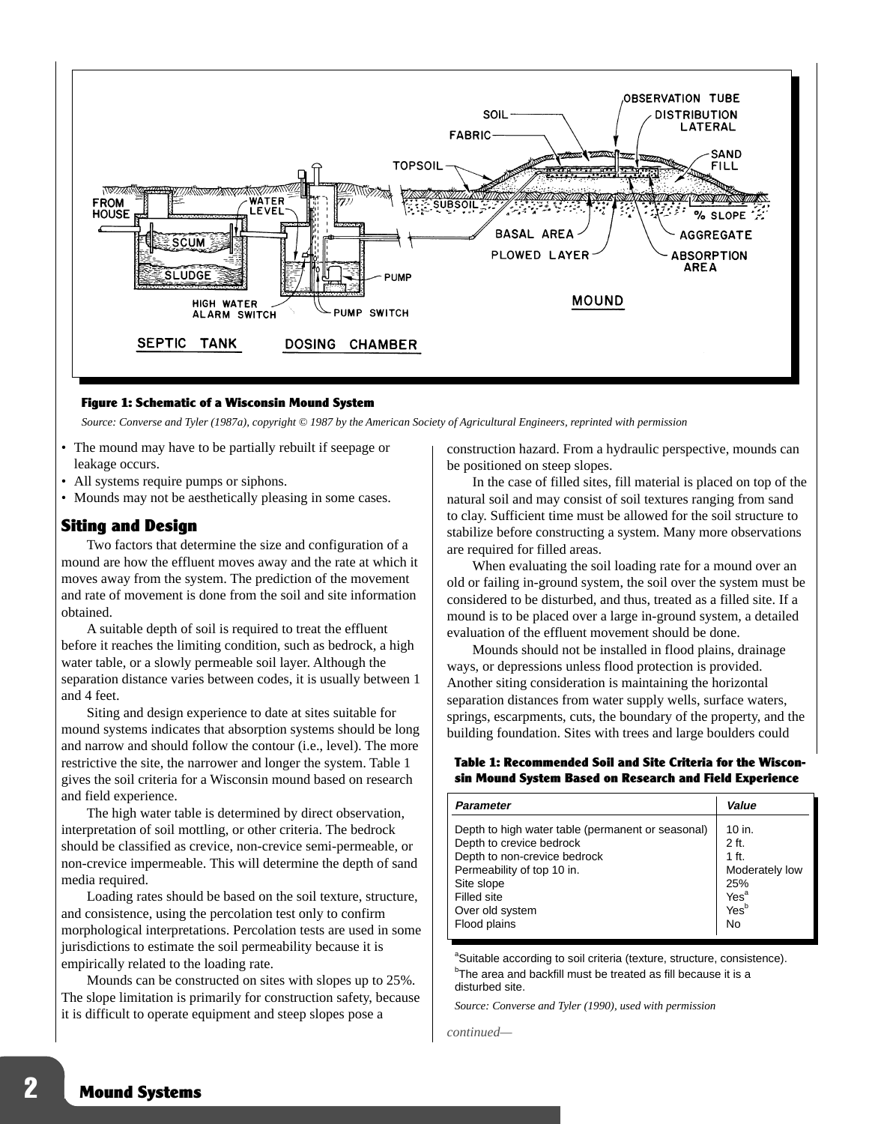

#### Figure 1: Schematic of a Wisconsin Mound System

*Source: Converse and Tyler (1987a), copyright © 1987 by the American Society of Agricultural Engineers, reprinted with permission*

- The mound may have to be partially rebuilt if seepage or leakage occurs.
- All systems require pumps or siphons.
- Mounds may not be aesthetically pleasing in some cases.

## Siting and Design

Two factors that determine the size and configuration of a mound are how the effluent moves away and the rate at which it moves away from the system. The prediction of the movement and rate of movement is done from the soil and site information obtained.

A suitable depth of soil is required to treat the effluent before it reaches the limiting condition, such as bedrock, a high water table, or a slowly permeable soil layer. Although the separation distance varies between codes, it is usually between 1 and 4 feet.

Siting and design experience to date at sites suitable for mound systems indicates that absorption systems should be long and narrow and should follow the contour (i.e., level). The more restrictive the site, the narrower and longer the system. Table 1 gives the soil criteria for a Wisconsin mound based on research and field experience.

The high water table is determined by direct observation, interpretation of soil mottling, or other criteria. The bedrock should be classified as crevice, non-crevice semi-permeable, or non-crevice impermeable. This will determine the depth of sand media required.

Loading rates should be based on the soil texture, structure, and consistence, using the percolation test only to confirm morphological interpretations. Percolation tests are used in some jurisdictions to estimate the soil permeability because it is empirically related to the loading rate.

Mounds can be constructed on sites with slopes up to 25%. The slope limitation is primarily for construction safety, because it is difficult to operate equipment and steep slopes pose a

construction hazard. From a hydraulic perspective, mounds can be positioned on steep slopes.

In the case of filled sites, fill material is placed on top of the natural soil and may consist of soil textures ranging from sand to clay. Sufficient time must be allowed for the soil structure to stabilize before constructing a system. Many more observations are required for filled areas.

When evaluating the soil loading rate for a mound over an old or failing in-ground system, the soil over the system must be considered to be disturbed, and thus, treated as a filled site. If a mound is to be placed over a large in-ground system, a detailed evaluation of the effluent movement should be done.

Mounds should not be installed in flood plains, drainage ways, or depressions unless flood protection is provided. Another siting consideration is maintaining the horizontal separation distances from water supply wells, surface waters, springs, escarpments, cuts, the boundary of the property, and the building foundation. Sites with trees and large boulders could

#### Table 1: Recommended Soil and Site Criteria for the Wisconsin Mound System Based on Research and Field Experience

| <b>Parameter</b>                                                                                                                                                                            | Value                                                                             |
|---------------------------------------------------------------------------------------------------------------------------------------------------------------------------------------------|-----------------------------------------------------------------------------------|
| Depth to high water table (permanent or seasonal)<br>Depth to crevice bedrock<br>Depth to non-crevice bedrock<br>Permeability of top 10 in.<br>Site slope<br>Filled site<br>Over old system | 10 in.<br>$2$ ft.<br>$1$ ft.<br>Moderately low<br>25%<br>Yes <sup>a</sup><br>Yesb |
| Flood plains                                                                                                                                                                                | No                                                                                |

<sup>a</sup>Suitable according to soil criteria (texture, structure, consistence). <sup>b</sup>The area and backfill must be treated as fill because it is a disturbed site.

*Source: Converse and Tyler (1990), used with permission*

*continued—*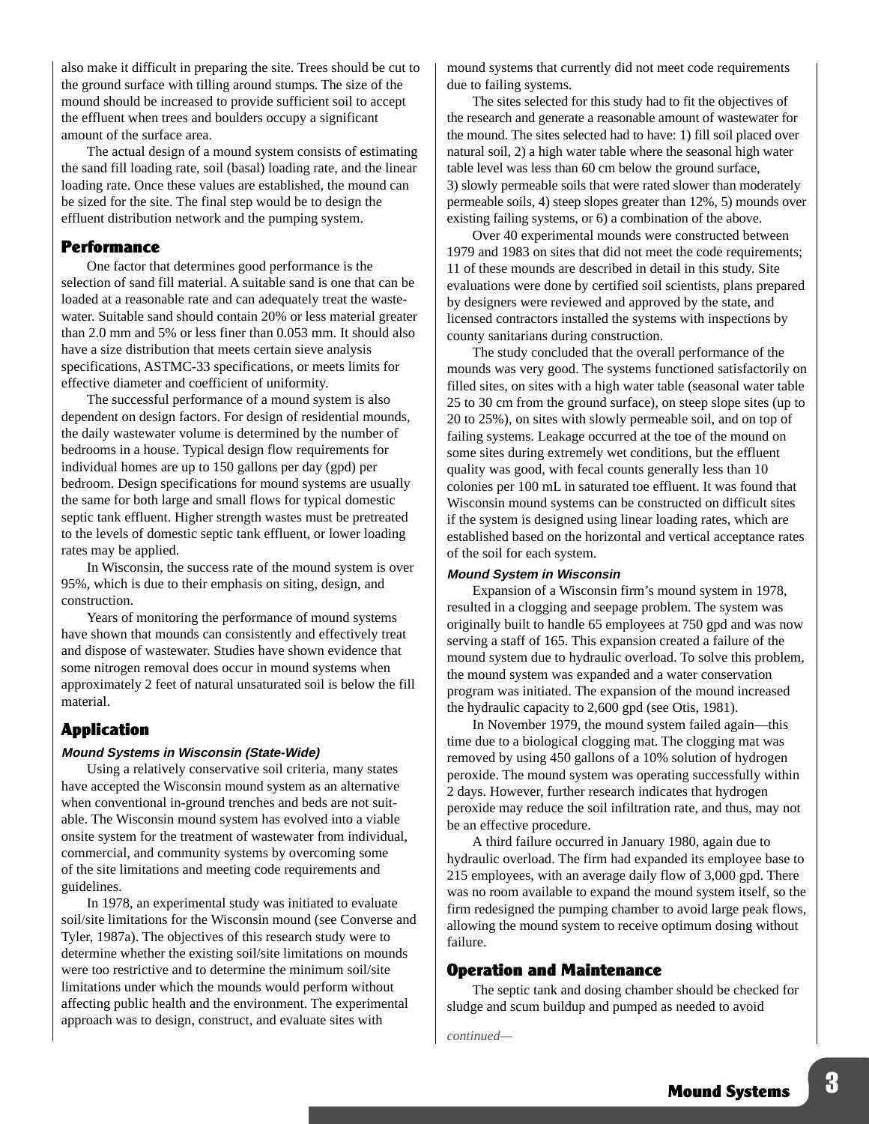also make it difficult in preparing the site. Trees should be cut to the ground surface with tilling around stumps. The size of the mound should be increased to provide sufficient soil to accept the effluent when trees and boulders occupy a significant amount of the surface area.

The actual design of a mound system consists of estimating the sand fill loading rate, soil (basal) loading rate, and the linear loading rate. Once these values are established, the mound can be sized for the site. The final step would be to design the effluent distribution network and the pumping system.

## Performance

One factor that determines good performance is the selection of sand fill material. A suitable sand is one that can be loaded at a reasonable rate and can adequately treat the wastewater. Suitable sand should contain 20% or less material greater than 2.0 mm and 5% or less finer than 0.053 mm. It should also have a size distribution that meets certain sieve analysis specifications, ASTMC-33 specifications, or meets limits for effective diameter and coefficient of uniformity.

The successful performance of a mound system is also dependent on design factors. For design of residential mounds, the daily wastewater volume is determined by the number of bedrooms in a house. Typical design flow requirements for individual homes are up to 150 gallons per day (gpd) per bedroom. Design specifications for mound systems are usually the same for both large and small flows for typical domestic septic tank effluent. Higher strength wastes must be pretreated to the levels of domestic septic tank effluent, or lower loading rates may be applied.

In Wisconsin, the success rate of the mound system is over 95%, which is due to their emphasis on siting, design, and construction.

Years of monitoring the performance of mound systems have shown that mounds can consistently and effectively treat and dispose of wastewater. Studies have shown evidence that some nitrogen removal does occur in mound systems when approximately 2 feet of natural unsaturated soil is below the fill material.

# Application

#### **Mound Systems in Wisconsin (State-Wide)**

Using a relatively conservative soil criteria, many states have accepted the Wisconsin mound system as an alternative when conventional in-ground trenches and beds are not suitable. The Wisconsin mound system has evolved into a viable onsite system for the treatment of wastewater from individual, commercial, and community systems by overcoming some of the site limitations and meeting code requirements and guidelines.

In 1978, an experimental study was initiated to evaluate soil/site limitations for the Wisconsin mound (see Converse and Tyler, 1987a). The objectives of this research study were to determine whether the existing soil/site limitations on mounds were too restrictive and to determine the minimum soil/site limitations under which the mounds would perform without affecting public health and the environment. The experimental approach was to design, construct, and evaluate sites with

mound systems that currently did not meet code requirements due to failing systems.

The sites selected for this study had to fit the objectives of the research and generate a reasonable amount of wastewater for the mound. The sites selected had to have: 1) fill soil placed over natural soil, 2) a high water table where the seasonal high water table level was less than 60 cm below the ground surface, 3) slowly permeable soils that were rated slower than moderately permeable soils, 4) steep slopes greater than 12%, 5) mounds over existing failing systems, or 6) a combination of the above.

Over 40 experimental mounds were constructed between 1979 and 1983 on sites that did not meet the code requirements; 11 of these mounds are described in detail in this study. Site evaluations were done by certified soil scientists, plans prepared by designers were reviewed and approved by the state, and licensed contractors installed the systems with inspections by county sanitarians during construction.

The study concluded that the overall performance of the mounds was very good. The systems functioned satisfactorily on filled sites, on sites with a high water table (seasonal water table 25 to 30 cm from the ground surface), on steep slope sites (up to 20 to 25%), on sites with slowly permeable soil, and on top of failing systems. Leakage occurred at the toe of the mound on some sites during extremely wet conditions, but the effluent quality was good, with fecal counts generally less than 10 colonies per 100 mL in saturated toe effluent. It was found that Wisconsin mound systems can be constructed on difficult sites if the system is designed using linear loading rates, which are established based on the horizontal and vertical acceptance rates of the soil for each system.

## **Mound System in Wisconsin**

Expansion of a Wisconsin firm's mound system in 1978, resulted in a clogging and seepage problem. The system was originally built to handle 65 employees at 750 gpd and was now serving a staff of 165. This expansion created a failure of the mound system due to hydraulic overload. To solve this problem, the mound system was expanded and a water conservation program was initiated. The expansion of the mound increased the hydraulic capacity to 2,600 gpd (see Otis, 1981).

In November 1979, the mound system failed again—this time due to a biological clogging mat. The clogging mat was removed by using 450 gallons of a 10% solution of hydrogen peroxide. The mound system was operating successfully within 2 days. However, further research indicates that hydrogen peroxide may reduce the soil infiltration rate, and thus, may not be an effective procedure.

A third failure occurred in January 1980, again due to hydraulic overload. The firm had expanded its employee base to 215 employees, with an average daily flow of 3,000 gpd. There was no room available to expand the mound system itself, so the firm redesigned the pumping chamber to avoid large peak flows, allowing the mound system to receive optimum dosing without failure.

## Operation and Maintenance

The septic tank and dosing chamber should be checked for sludge and scum buildup and pumped as needed to avoid

*continued—*